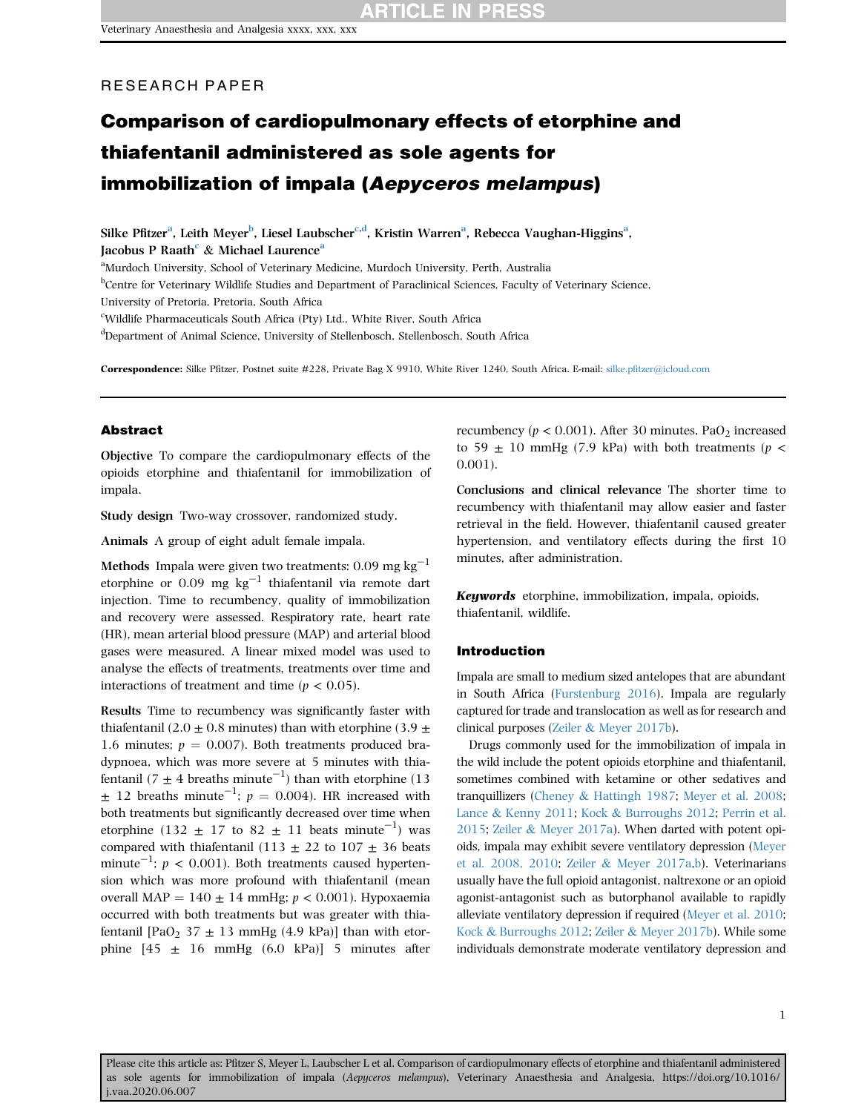### RESEARCH PAPER

# Comparison of cardiopulmonary effects of etorphine and thiafentanil administered as sole agents for immobilization of impala (Aepyceros melampus)

Silke Pfitzer<sup>[a](#page-0-0)</sup>, Leith Meyer<sup>[b](#page-0-1)</sup>, Liesel Laubs[c](#page-0-2)her<sup>c[,d](#page-0-3)</sup>, Kristin Warren<sup>a</sup>, Rebecca Vaughan-Higgins<sup>a</sup>, Ja[c](#page-0-2)obus P R[a](#page-0-0)ath<sup>c</sup> & Michael Laurence<sup>a</sup>

<span id="page-0-0"></span><sup>a</sup>Murdoch University, School of Veterinary Medicine, Murdoch University, Perth, Australia

<span id="page-0-1"></span><sup>b</sup>Centre for Veterinary Wildlife Studies and Department of Paraclinical Sciences, Faculty of Veterinary Science,

University of Pretoria, Pretoria, South Africa

<span id="page-0-2"></span>c Wildlife Pharmaceuticals South Africa (Pty) Ltd., White River, South Africa

<span id="page-0-3"></span>d Department of Animal Science, University of Stellenbosch, Stellenbosch, South Africa

Correspondence: Silke Pfitzer, Postnet suite #228, Private Bag X 9910, White River 1240, South Africa. E-mail: silke.pfi[tzer@icloud.com](mailto:silke.pfitzer@icloud.com)

### Abstract

Objective To compare the cardiopulmonary effects of the opioids etorphine and thiafentanil for immobilization of impala.

Study design Two-way crossover, randomized study.

Animals A group of eight adult female impala.

Methods Impala were given two treatments:  $0.09 \text{ mg kg}^{-1}$ etorphine or 0.09 mg  $kg^{-1}$  thiafentanil via remote dart injection. Time to recumbency, quality of immobilization and recovery were assessed. Respiratory rate, heart rate (HR), mean arterial blood pressure (MAP) and arterial blood gases were measured. A linear mixed model was used to analyse the effects of treatments, treatments over time and interactions of treatment and time ( $p < 0.05$ ).

Results Time to recumbency was significantly faster with thiafentanil (2.0  $\pm$  0.8 minutes) than with etorphine (3.9  $\pm$ 1.6 minutes;  $p = 0.007$ ). Both treatments produced bradypnoea, which was more severe at 5 minutes with thiafentanil (7  $\pm$  4 breaths minute<sup>-1</sup>) than with etorphine (13)  $\pm$  12 breaths minute<sup>-1</sup>;  $p = 0.004$ ). HR increased with both treatments but significantly decreased over time when etorphine (132  $\pm$  17 to 82  $\pm$  11 beats minute<sup>-1</sup>) was compared with thiafentanil (113  $\pm$  22 to 107  $\pm$  36 beats minute<sup>-1</sup>;  $p < 0.001$ ). Both treatments caused hypertension which was more profound with thiafentanil (mean overall MAP =  $140 \pm 14$  mmHg;  $p < 0.001$ ). Hypoxaemia occurred with both treatments but was greater with thiafentanil [PaO<sub>2</sub> 37  $\pm$  13 mmHg (4.9 kPa)] than with etorphine  $[45 \pm 16 \text{ mmHg} (6.0 \text{ kPa})]$  5 minutes after recumbency ( $p < 0.001$ ). After 30 minutes, PaO<sub>2</sub> increased to 59  $\pm$  10 mmHg (7.9 kPa) with both treatments (p < 0.001).

Conclusions and clinical relevance The shorter time to recumbency with thiafentanil may allow easier and faster retrieval in the field. However, thiafentanil caused greater hypertension, and ventilatory effects during the first 10 minutes, after administration.

Keywords etorphine, immobilization, impala, opioids, thiafentanil, wildlife.

#### Introduction

Impala are small to medium sized antelopes that are abundant in South Africa [\(Furstenburg 2016\)](#page-10-0). Impala are regularly captured for trade and translocation as well as for research and clinical purposes ([Zeiler](#page-11-0) & [Meyer 2017b](#page-11-0)).

Drugs commonly used for the immobilization of impala in the wild include the potent opioids etorphine and thiafentanil, sometimes combined with ketamine or other sedatives and tranquillizers ([Cheney](#page-10-1) & [Hattingh 1987;](#page-10-1) [Meyer et al](#page-10-2). 2008; [Lance](#page-10-3) & [Kenny 2011;](#page-10-3) [Kock](#page-10-4) & [Burroughs 2012;](#page-10-4) [Perrin et al.](#page-10-5) [2015;](#page-10-5) [Zeiler](#page-11-1) & [Meyer 2017a](#page-11-1)). When darted with potent opioids, impala may exhibit severe ventilatory depression ([Meyer](#page-10-2) et al. [2008, 2010](#page-10-2); [Zeiler](#page-11-1) & [Meyer 2017a](#page-11-1),[b](#page-11-0)). Veterinarians usually have the full opioid antagonist, naltrexone or an opioid agonist-antagonist such as butorphanol available to rapidly alleviate ventilatory depression if required [\(Meyer et al. 2010](#page-10-6); [Kock](#page-10-4) & [Burroughs 2012;](#page-10-4) [Zeiler](#page-11-0) & [Meyer 2017b](#page-11-0)). While some individuals demonstrate moderate ventilatory depression and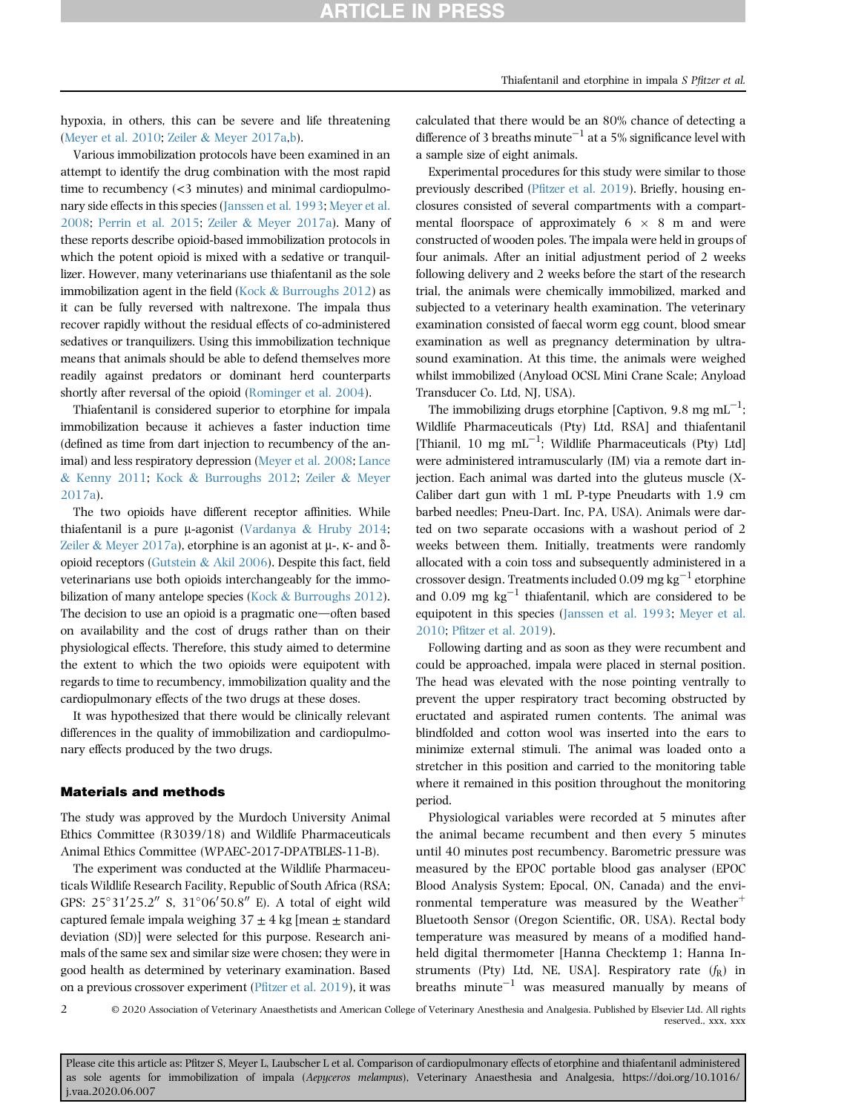hypoxia, in others, this can be severe and life threatening [\(Meyer et al. 2010](#page-10-6); [Zeiler](#page-11-1) & [Meyer 2017a,](#page-11-1)[b](#page-11-0)).

Various immobilization protocols have been examined in an attempt to identify the drug combination with the most rapid time to recumbency (<3 minutes) and minimal cardiopulmonary side effects in this species [\(Janssen et al](#page-10-7). 1993; [Meyer et al.](#page-10-2) [2008](#page-10-2); [Perrin et al. 2015](#page-10-5); [Zeiler](#page-11-1) & [Meyer 2017a](#page-11-1)). Many of these reports describe opioid-based immobilization protocols in which the potent opioid is mixed with a sedative or tranquillizer. However, many veterinarians use thiafentanil as the sole immobilization agent in the field [\(Kock](#page-10-4)  $&$  [Burroughs 2012](#page-10-4)) as it can be fully reversed with naltrexone. The impala thus recover rapidly without the residual effects of co-administered sedatives or tranquilizers. Using this immobilization technique means that animals should be able to defend themselves more readily against predators or dominant herd counterparts shortly after reversal of the opioid [\(Rominger et al. 2004](#page-10-8)).

Thiafentanil is considered superior to etorphine for impala immobilization because it achieves a faster induction time (defined as time from dart injection to recumbency of the animal) and less respiratory depression ([Meyer et al. 2008;](#page-10-2) [Lance](#page-10-3) & [Kenny 2011](#page-10-3); [Kock](#page-10-4) & [Burroughs 2012;](#page-10-4) [Zeiler](#page-11-1) & [Meyer](#page-11-1) [2017a\)](#page-11-1).

The two opioids have different receptor affinities. While thiafentanil is a pure  $\mu$ -agonist ([Vardanya](#page-11-2) & [Hruby 2014](#page-11-2); [Zeiler](#page-11-1) & [Meyer 2017a\)](#page-11-1), etorphine is an agonist at  $\mu$ -,  $\kappa$ - and  $\delta$ opioid receptors ([Gutstein](#page-10-9) & [Akil 2006](#page-10-9)). Despite this fact, field veterinarians use both opioids interchangeably for the immo-bilization of many antelope species [\(Kock](#page-10-4) & [Burroughs 2012](#page-10-4)). The decision to use an opioid is a pragmatic one-often based on availability and the cost of drugs rather than on their physiological effects. Therefore, this study aimed to determine the extent to which the two opioids were equipotent with regards to time to recumbency, immobilization quality and the cardiopulmonary effects of the two drugs at these doses.

It was hypothesized that there would be clinically relevant differences in the quality of immobilization and cardiopulmonary effects produced by the two drugs.

### Materials and methods

The study was approved by the Murdoch University Animal Ethics Committee (R3039/18) and Wildlife Pharmaceuticals Animal Ethics Committee (WPAEC-2017-DPATBLES-11-B).

The experiment was conducted at the Wildlife Pharmaceuticals Wildlife Research Facility, Republic of South Africa (RSA; GPS:  $25^{\circ}31'25.2''$  S,  $31^{\circ}06'50.8''$  E). A total of eight wild captured female impala weighing  $37 \pm 4$  kg [mean  $\pm$  standard deviation (SD)] were selected for this purpose. Research animals of the same sex and similar size were chosen; they were in good health as determined by veterinary examination. Based on a previous crossover experiment (Pfi[tzer et al. 2019](#page-10-10)), it was calculated that there would be an 80% chance of detecting a difference of 3 breaths minute<sup>-1</sup> at a 5% significance level with a sample size of eight animals.

Experimental procedures for this study were similar to those previously described (Pfi[tzer et al. 2019](#page-10-10)). Briefly, housing enclosures consisted of several compartments with a compartmental floorspace of approximately  $6 \times 8$  m and were constructed of wooden poles. The impala were held in groups of four animals. After an initial adjustment period of 2 weeks following delivery and 2 weeks before the start of the research trial, the animals were chemically immobilized, marked and subjected to a veterinary health examination. The veterinary examination consisted of faecal worm egg count, blood smear examination as well as pregnancy determination by ultrasound examination. At this time, the animals were weighed whilst immobilized (Anyload OCSL Mini Crane Scale; Anyload Transducer Co. Ltd, NJ, USA).

The immobilizing drugs etorphine [Captivon, 9.8  $\mathrm{mg\;mL}^{-1};$ Wildlife Pharmaceuticals (Pty) Ltd, RSA] and thiafentanil [Thianil, 10 mg  $mL^{-1}$ ; Wildlife Pharmaceuticals (Pty) Ltd] were administered intramuscularly (IM) via a remote dart injection. Each animal was darted into the gluteus muscle (X-Caliber dart gun with 1 mL P-type Pneudarts with 1.9 cm barbed needles; Pneu-Dart. Inc, PA, USA). Animals were darted on two separate occasions with a washout period of 2 weeks between them. Initially, treatments were randomly allocated with a coin toss and subsequently administered in a crossover design. Treatments included 0.09 mg kg<sup>-1</sup> etorphine and 0.09 mg  $kg^{-1}$  thiafentanil, which are considered to be equipotent in this species [\(Janssen et al. 1993](#page-10-7); [Meyer et al.](#page-10-6) [2010](#page-10-6); Pfi[tzer et al. 2019\)](#page-10-10).

Following darting and as soon as they were recumbent and could be approached, impala were placed in sternal position. The head was elevated with the nose pointing ventrally to prevent the upper respiratory tract becoming obstructed by eructated and aspirated rumen contents. The animal was blindfolded and cotton wool was inserted into the ears to minimize external stimuli. The animal was loaded onto a stretcher in this position and carried to the monitoring table where it remained in this position throughout the monitoring period.

Physiological variables were recorded at 5 minutes after the animal became recumbent and then every 5 minutes until 40 minutes post recumbency. Barometric pressure was measured by the EPOC portable blood gas analyser (EPOC Blood Analysis System; Epocal, ON, Canada) and the environmental temperature was measured by the Weather<sup>+</sup> Bluetooth Sensor (Oregon Scientific, OR, USA). Rectal body temperature was measured by means of a modified handheld digital thermometer [Hanna Checktemp 1; Hanna Instruments (Pty) Ltd, NE, USA]. Respiratory rate  $(f_R)$  in breaths  $minute^{-1}$  was measured manually by means of

2

© 2020 Association of Veterinary Anaesthetists and American College of Veterinary Anesthesia and Analgesia. Published by Elsevier Ltd. All rights reserved., xxx, xxx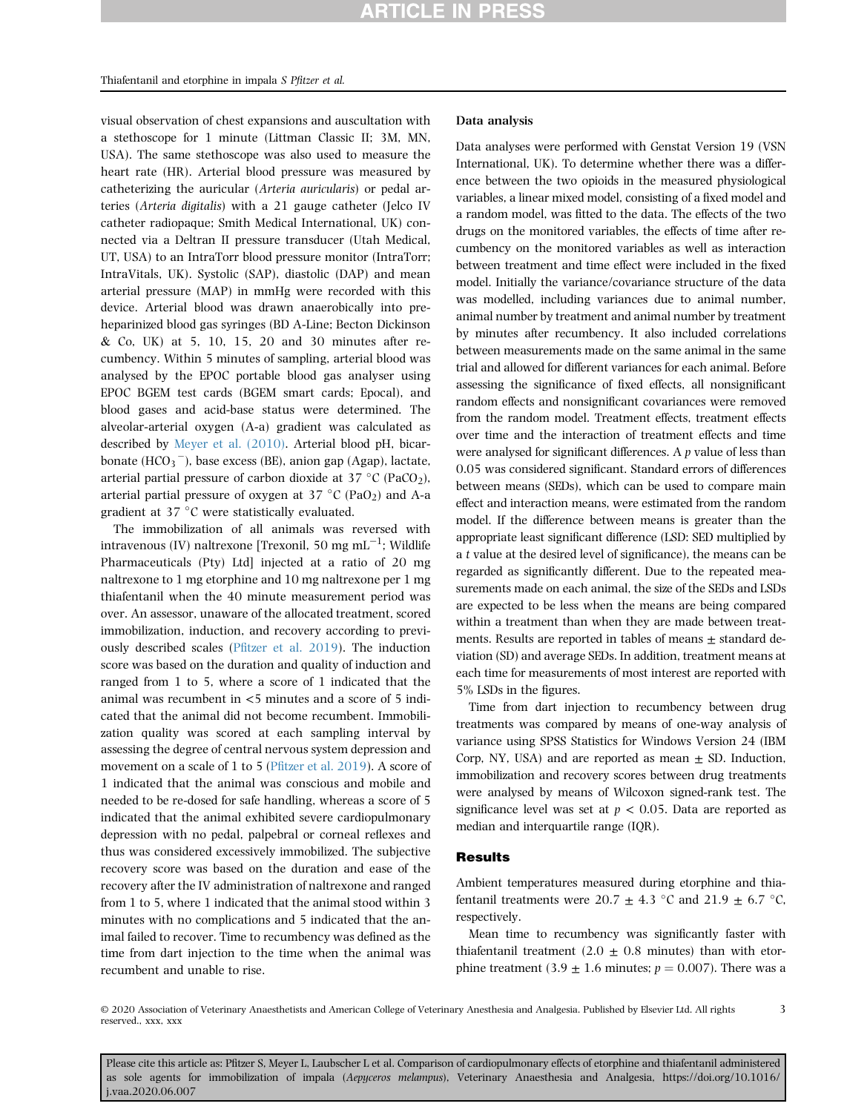visual observation of chest expansions and auscultation with a stethoscope for 1 minute (Littman Classic II; 3M, MN, USA). The same stethoscope was also used to measure the heart rate (HR). Arterial blood pressure was measured by catheterizing the auricular (Arteria auricularis) or pedal arteries (Arteria digitalis) with a 21 gauge catheter (Jelco IV catheter radiopaque; Smith Medical International, UK) connected via a Deltran II pressure transducer (Utah Medical, UT, USA) to an IntraTorr blood pressure monitor (IntraTorr; IntraVitals, UK). Systolic (SAP), diastolic (DAP) and mean arterial pressure (MAP) in mmHg were recorded with this device. Arterial blood was drawn anaerobically into preheparinized blood gas syringes (BD A-Line; Becton Dickinson & Co, UK) at 5, 10, 15, 20 and 30 minutes after recumbency. Within 5 minutes of sampling, arterial blood was analysed by the EPOC portable blood gas analyser using EPOC BGEM test cards (BGEM smart cards; Epocal), and blood gases and acid-base status were determined. The alveolar-arterial oxygen (A-a) gradient was calculated as described by [Meyer et al. \(2010\)](#page-10-6). Arterial blood pH, bicarbonate  $\left(\text{HCO}_3\right)$ , base excess (BE), anion gap (Agap), lactate, arterial partial pressure of carbon dioxide at  $37 \degree C$  (PaCO<sub>2</sub>), arterial partial pressure of oxygen at  $37 °C$  (PaO<sub>2</sub>) and A-a gradient at  $37 °C$  were statistically evaluated.

The immobilization of all animals was reversed with intravenous (IV) naltrexone [Trexonil, 50 mg mL<sup> $-1$ </sup>; Wildlife Pharmaceuticals (Pty) Ltd] injected at a ratio of 20 mg naltrexone to 1 mg etorphine and 10 mg naltrexone per 1 mg thiafentanil when the 40 minute measurement period was over. An assessor, unaware of the allocated treatment, scored immobilization, induction, and recovery according to previously described scales (Pfi[tzer et al. 2019\)](#page-10-10). The induction score was based on the duration and quality of induction and ranged from 1 to 5, where a score of 1 indicated that the animal was recumbent in <5 minutes and a score of 5 indicated that the animal did not become recumbent. Immobilization quality was scored at each sampling interval by assessing the degree of central nervous system depression and movement on a scale of 1 to 5 (Pfi[tzer et al. 2019\)](#page-10-10). A score of 1 indicated that the animal was conscious and mobile and needed to be re-dosed for safe handling, whereas a score of 5 indicated that the animal exhibited severe cardiopulmonary depression with no pedal, palpebral or corneal reflexes and thus was considered excessively immobilized. The subjective recovery score was based on the duration and ease of the recovery after the IV administration of naltrexone and ranged from 1 to 5, where 1 indicated that the animal stood within 3 minutes with no complications and 5 indicated that the animal failed to recover. Time to recumbency was defined as the time from dart injection to the time when the animal was recumbent and unable to rise.

### Data analysis

Data analyses were performed with Genstat Version 19 (VSN International, UK). To determine whether there was a difference between the two opioids in the measured physiological variables, a linear mixed model, consisting of a fixed model and a random model, was fitted to the data. The effects of the two drugs on the monitored variables, the effects of time after recumbency on the monitored variables as well as interaction between treatment and time effect were included in the fixed model. Initially the variance/covariance structure of the data was modelled, including variances due to animal number, animal number by treatment and animal number by treatment by minutes after recumbency. It also included correlations between measurements made on the same animal in the same trial and allowed for different variances for each animal. Before assessing the significance of fixed effects, all nonsignificant random effects and nonsignificant covariances were removed from the random model. Treatment effects, treatment effects over time and the interaction of treatment effects and time were analysed for significant differences. A p value of less than 0.05 was considered significant. Standard errors of differences between means (SEDs), which can be used to compare main effect and interaction means, were estimated from the random model. If the difference between means is greater than the appropriate least significant difference (LSD: SED multiplied by a t value at the desired level of significance), the means can be regarded as significantly different. Due to the repeated measurements made on each animal, the size of the SEDs and LSDs are expected to be less when the means are being compared within a treatment than when they are made between treatments. Results are reported in tables of means  $\pm$  standard deviation (SD) and average SEDs. In addition, treatment means at each time for measurements of most interest are reported with 5% LSDs in the figures.

Time from dart injection to recumbency between drug treatments was compared by means of one-way analysis of variance using SPSS Statistics for Windows Version 24 (IBM Corp, NY, USA) and are reported as mean  $\pm$  SD. Induction, immobilization and recovery scores between drug treatments were analysed by means of Wilcoxon signed-rank test. The significance level was set at  $p < 0.05$ . Data are reported as median and interquartile range (IQR).

### Results

Ambient temperatures measured during etorphine and thiafentanil treatments were 20.7  $\pm$  4.3 °C and 21.9  $\pm$  6.7 °C, respectively.

Mean time to recumbency was significantly faster with thiafentanil treatment  $(2.0 \pm 0.8 \text{ minutes})$  than with etorphine treatment (3.9  $\pm$  1.6 minutes;  $p = 0.007$ ). There was a

3

© 2020 Association of Veterinary Anaesthetists and American College of Veterinary Anesthesia and Analgesia. Published by Elsevier Ltd. All rights reserved., xxx, xxx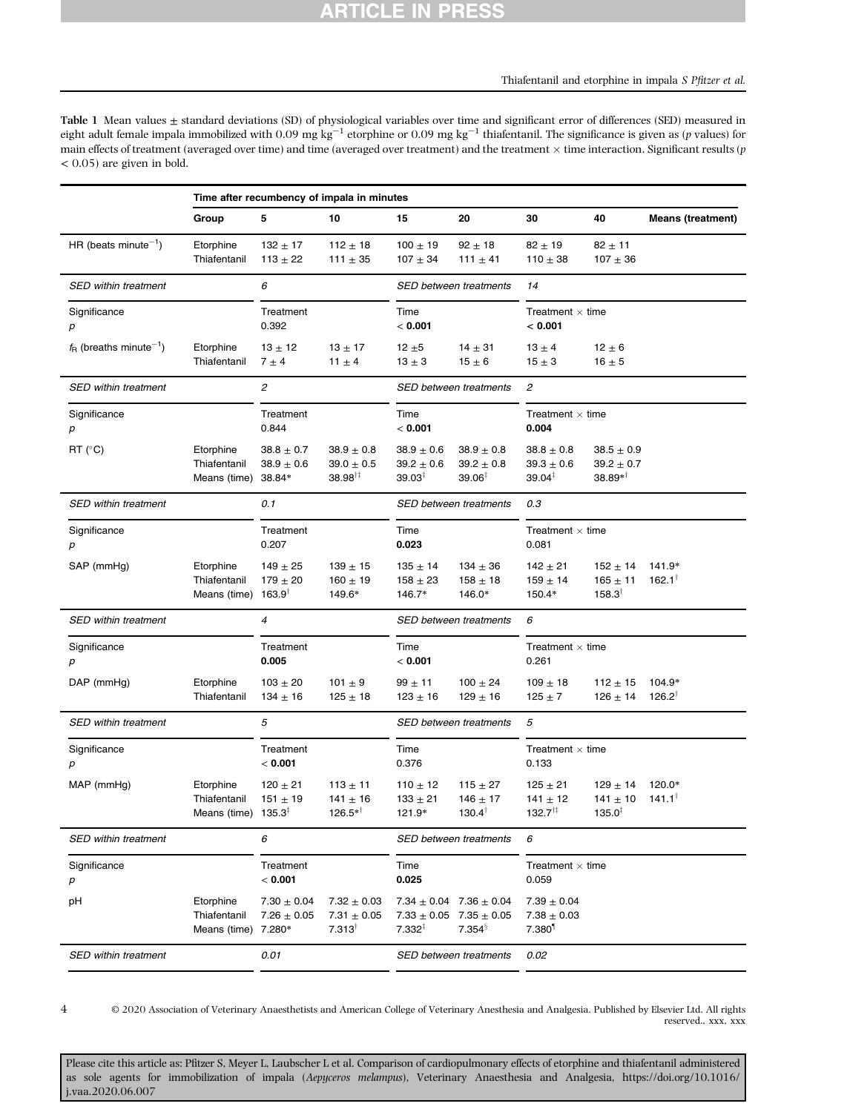<span id="page-3-0"></span>Table 1 Mean values  $\pm$  standard deviations (SD) of physiological variables over time and significant error of differences (SED) measured in eight adult female impala immobilized with  $0.09 \text{ mg kg}^{-1}$  etorphine or  $0.09 \text{ mg kg}^{-1}$  thiafentanil. The significance is given as (p values) for main effects of treatment (averaged over time) and time (averaged over treatment) and the treatment  $\times$  time interaction. Significant results (p  $< 0.05$ ) are given in bold.

|                                               | Time after recumbency of impala in minutes                   |                                              |                                                         |                                                        |                                                                                             |                                                            |                                                    |                             |  |  |
|-----------------------------------------------|--------------------------------------------------------------|----------------------------------------------|---------------------------------------------------------|--------------------------------------------------------|---------------------------------------------------------------------------------------------|------------------------------------------------------------|----------------------------------------------------|-----------------------------|--|--|
|                                               | Group                                                        | 5                                            | 10                                                      | 15                                                     | 20                                                                                          | 30                                                         | 40                                                 | <b>Means (treatment)</b>    |  |  |
| HR (beats minute <sup><math>-1</math></sup> ) | Etorphine<br>Thiafentanil                                    | $132 + 17$<br>$113 \pm 22$                   | $112 \pm 18$<br>111 $\pm$ 35                            | $100 \pm 19$<br>$107 \pm 34$                           | $92 \pm 18$<br>111 $\pm$ 41                                                                 | $82 \pm 19$<br>$110 \pm 38$                                | $82 \pm 11$<br>$107 \pm 36$                        |                             |  |  |
| <b>SED within treatment</b>                   |                                                              | 6                                            |                                                         |                                                        | SED between treatments                                                                      | 14                                                         |                                                    |                             |  |  |
| Significance<br>р                             |                                                              | Treatment<br>0.392                           |                                                         | Time<br>< 0.001                                        |                                                                                             | Treatment $\times$ time<br>< 0.001                         |                                                    |                             |  |  |
| $f_{\rm B}$ (breaths minute <sup>-1</sup> )   | Etorphine<br>Thiafentanil                                    | $13 \pm 12$<br>$7 \pm 4$                     | $13 \pm 17$<br>11 $\pm$ 4                               | 12 $\pm$ 5<br>$13 \pm 3$                               | $14 \pm 31$<br>$15 \pm 6$                                                                   | $13 \pm 4$<br>$15 \pm 3$                                   | $12 \pm 6$<br>$16 \pm 5$                           |                             |  |  |
| <b>SED within treatment</b>                   |                                                              | 2                                            |                                                         |                                                        | <b>SED between treatments</b>                                                               | 2                                                          |                                                    |                             |  |  |
| Significance<br>р                             |                                                              | Treatment<br>0.844                           |                                                         | Time<br>< 0.001                                        |                                                                                             | Treatment $\times$ time<br>0.004                           |                                                    |                             |  |  |
| $RT$ ( $°C$ )                                 | Etorphine<br>Thiafentanil<br>Means (time) 38.84*             | $38.8 \pm 0.7$<br>$38.9 \pm 0.6$             | $38.9 \pm 0.8$<br>$39.0 \pm 0.5$<br>$38.98^{\dagger}$   | $38.9 \pm 0.6$<br>$39.2 \pm 0.6$<br>$39.03^{\ddagger}$ | $38.9 \pm 0.8$<br>$39.2 \pm 0.8$<br>$39.06^{\ddagger}$                                      | $38.8 \pm 0.8$<br>$39.3 \pm 0.6$<br>$39.04^{\ddagger}$     | $38.5 \pm 0.9$<br>$39.2 \pm 0.7$<br>$38.89**$      |                             |  |  |
| <b>SED within treatment</b>                   |                                                              | 0.1                                          |                                                         | SED between treatments                                 |                                                                                             | 0.3                                                        |                                                    |                             |  |  |
| Significance<br>p                             |                                                              | Treatment<br>0.207                           |                                                         | Time<br>0.023                                          |                                                                                             | Treatment $\times$ time<br>0.081                           |                                                    |                             |  |  |
| SAP (mmHg)                                    | Etorphine<br>Thiafentanil<br>Means (time) $163.9^{\dagger}$  | $149 \pm 25$<br>$179 \pm 20$                 | $139 \pm 15$<br>$160 + 19$<br>149.6*                    | $135 \pm 14$<br>$158 \pm 23$<br>146.7*                 | $134 \pm 36$<br>$158 \pm 18$<br>146.0*                                                      | $142 \pm 21$<br>$159 \pm 14$<br>150.4*                     | $152 \pm 14$<br>$165 \pm 11$<br>$158.3^{\dagger}$  | 141.9*<br>$162.1^{\dagger}$ |  |  |
| <b>SED within treatment</b>                   |                                                              | $\overline{4}$                               |                                                         | SED between treatments                                 |                                                                                             | 6                                                          |                                                    |                             |  |  |
| Significance<br>р                             |                                                              | Treatment<br>0.005                           |                                                         | Time<br>< 0.001                                        |                                                                                             | Treatment $\times$ time<br>0.261                           |                                                    |                             |  |  |
| DAP (mmHg)                                    | Etorphine<br>Thiafentanil                                    | $103 \pm 20$<br>$134 \pm 16$                 | 101 $\pm$ 9<br>$125 \pm 18$                             | $99 \pm 11$<br>$123 \pm 16$                            | $100 \pm 24$<br>$129 \pm 16$                                                                | $109 \pm 18$<br>125 $\pm$ 7                                | $112 \pm 15$<br>$126 \pm 14$                       | 104.9*<br>$126.2^{\dagger}$ |  |  |
| <b>SED within treatment</b>                   |                                                              | 5                                            |                                                         |                                                        | SED between treatments                                                                      |                                                            | 5                                                  |                             |  |  |
| Significance<br>р                             |                                                              | Treatment<br>< 0.001                         |                                                         | Time<br>0.376                                          |                                                                                             | Treatment $\times$ time<br>0.133                           |                                                    |                             |  |  |
| $MAP$ (mmHg)                                  | Etorphine<br>Thiafentanil<br>Means (time) $135.3^{\ddagger}$ | $120 \pm 21$<br>$151 \pm 19$                 | $113 \pm 11$<br>$141 \pm 16$<br>$126.5**^{\dagger}$     | 110 $\pm$ 12<br>$133 \pm 21$<br>121.9*                 | $115 \pm 27$<br>$146 \pm 17$<br>$130.4^{\dagger}$                                           | $125 \pm 21$<br>$141 \pm 12$<br>$132.7^{+1}$               | $129 \pm 14$<br>$141 \pm 10$<br>$135.0^{\ddagger}$ | 120.0*<br>$141.1^{\dagger}$ |  |  |
| <b>SED within treatment</b>                   |                                                              | 6                                            |                                                         | <b>SED between treatments</b>                          |                                                                                             | 6                                                          |                                                    |                             |  |  |
| Significance<br>р                             |                                                              | Treatment<br>< 0.001                         |                                                         | Time<br>0.025                                          |                                                                                             | Treatment $\times$ time<br>0.059                           |                                                    |                             |  |  |
| рH                                            | Etorphine<br>Thiafentanil<br>Means (time)                    | $7.30 \pm 0.04$<br>$7.26 \pm 0.05$<br>7.280* | $7.32 \pm 0.03$<br>$7.31 \pm 0.05$<br>$7.313^{\dagger}$ | $7.332^{1}$                                            | $7.34 \pm 0.04$ 7.36 $\pm$ 0.04<br>$7.33 \pm 0.05$ 7.35 $\pm$ 0.05<br>$7.354^{\frac{5}{3}}$ | $7.39 \pm 0.04$<br>$7.38 \pm 0.03$<br>$7.380$ <sup>1</sup> |                                                    |                             |  |  |
| SED within treatment                          |                                                              | 0.01                                         |                                                         | SED between treatments                                 |                                                                                             | 0.02                                                       |                                                    |                             |  |  |

4

© 2020 Association of Veterinary Anaesthetists and American College of Veterinary Anesthesia and Analgesia. Published by Elsevier Ltd. All rights reserved., xxx, xxx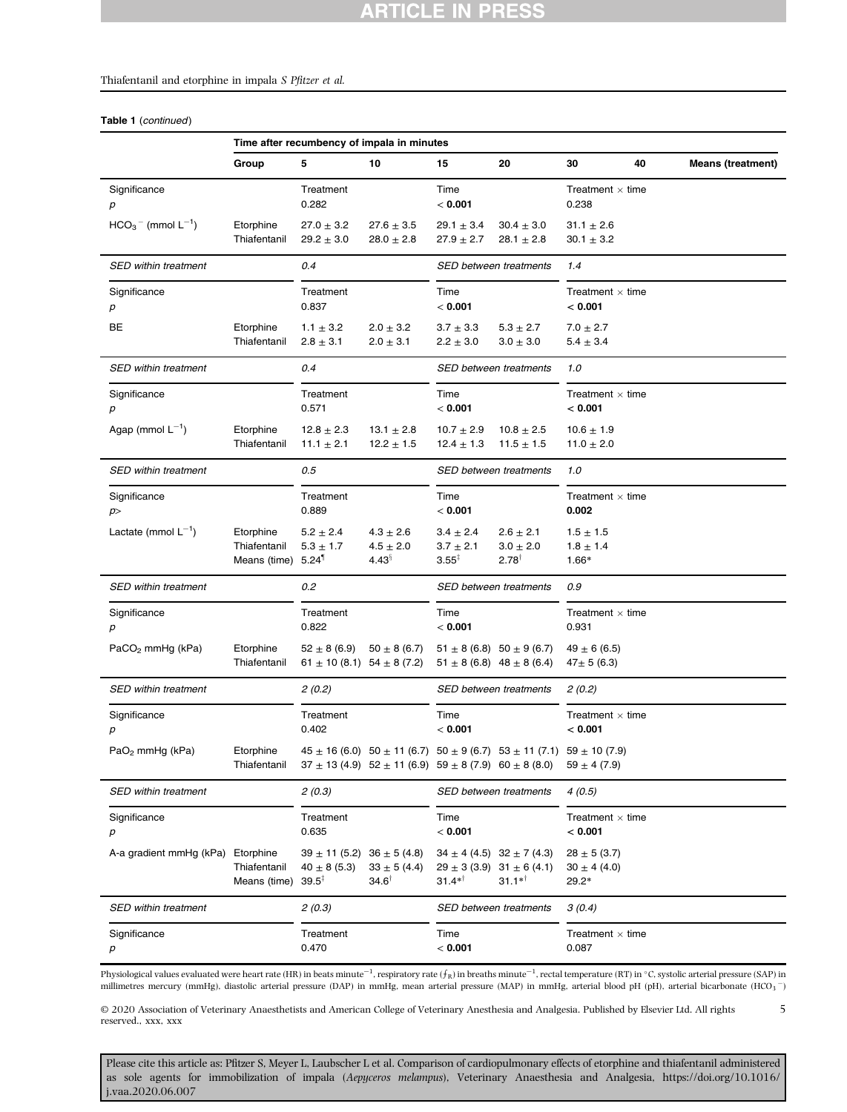## **ARTICLE IN PRESS**

### Thiafentanil and etorphine in impala S Pfitzer et al.

Table 1 (continued)

|                                  | Time after recumbency of impala in minutes                  |                                                                            |                                                                       |                                                     |                                                                                          |                                               |    |                          |  |
|----------------------------------|-------------------------------------------------------------|----------------------------------------------------------------------------|-----------------------------------------------------------------------|-----------------------------------------------------|------------------------------------------------------------------------------------------|-----------------------------------------------|----|--------------------------|--|
|                                  | Group                                                       | 5                                                                          | 10                                                                    | 15                                                  | 20                                                                                       | 30                                            | 40 | <b>Means (treatment)</b> |  |
| Significance<br>p                |                                                             | Treatment<br>0.282                                                         |                                                                       | Time<br>< 0.001                                     |                                                                                          | Treatment $\times$ time<br>0.238              |    |                          |  |
| $HCO3$ (mmol L <sup>-1</sup> )   | Etorphine<br>Thiafentanil                                   | $27.0 \pm 3.2$<br>$29.2 \pm 3.0$                                           | $27.6 \pm 3.5$<br>$28.0 \pm 2.8$                                      | $29.1 \pm 3.4$<br>$27.9 \pm 2.7$                    | $30.4 \pm 3.0$<br>$28.1 \pm 2.8$                                                         | $31.1 \pm 2.6$<br>$30.1 \pm 3.2$              |    |                          |  |
| <b>SED within treatment</b>      |                                                             | 0.4                                                                        |                                                                       |                                                     | SED between treatments                                                                   | 1.4                                           |    |                          |  |
| Significance<br>p                |                                                             | Treatment<br>0.837                                                         |                                                                       | Time<br>< 0.001                                     |                                                                                          | Treatment $\times$ time<br>< 0.001            |    |                          |  |
| BE                               | Etorphine<br>Thiafentanil                                   | $1.1 \pm 3.2$<br>$2.8 \pm 3.1$                                             | $2.0 \pm 3.2$<br>$2.0 \pm 3.1$                                        | $3.7 \pm 3.3$<br>$2.2\pm3.0$                        | $5.3$ $\pm$ $2.7$<br>$3.0 \pm 3.0$                                                       | $7.0 \pm 2.7$<br>$5.4 \pm 3.4$                |    |                          |  |
| <b>SED within treatment</b>      |                                                             | 0.4                                                                        |                                                                       |                                                     | <b>SED between treatments</b>                                                            | 1.0                                           |    |                          |  |
| Significance<br>$\boldsymbol{p}$ |                                                             | Treatment<br>0.571                                                         |                                                                       | Time<br>< 0.001                                     |                                                                                          | Treatment $\times$ time<br>< 0.001            |    |                          |  |
| Agap (mmol $L^{-1}$ )            | Etorphine<br>Thiafentanil                                   | $12.8 \pm 2.3$<br>$11.1 \pm 2.1$                                           | $13.1 \pm 2.8$<br>$12.2 \pm 1.5$                                      | $10.7 \pm 2.9$<br>$12.4 \pm 1.3$                    | $10.8 \pm 2.5$<br>$11.5 \pm 1.5$                                                         | $10.6 \pm 1.9$<br>11.0 $\pm$ 2.0              |    |                          |  |
| <b>SED within treatment</b>      |                                                             | 0.5                                                                        |                                                                       | <b>SED between treatments</b>                       |                                                                                          | 1.0                                           |    |                          |  |
| Significance<br>p                |                                                             | Treatment<br>0.889                                                         |                                                                       | Time<br>< 0.001                                     |                                                                                          | Treatment $\times$ time<br>0.002              |    |                          |  |
| Lactate (mmol $L^{-1}$ )         | Etorphine<br>Thiafentanil<br>Means (time) 5.24 <sup>1</sup> | $5.2 \pm 2.4$<br>$5.3 \pm 1.7$                                             | $4.3 \pm 2.6$<br>$4.5 \pm 2.0$<br>$4.43^{\frac{8}{3}}$                | $3.4 \pm 2.4$<br>$3.7 \pm 2.1$<br>$3.55^{\ddagger}$ | $2.6 \pm 2.1$<br>$3.0 \pm 2.0$<br>$2.78^{\dagger}$                                       | $1.5 \pm 1.5$<br>$1.8 \pm 1.4$<br>1.66*       |    |                          |  |
| <b>SED within treatment</b>      |                                                             | 0.2                                                                        |                                                                       | SED between treatments                              |                                                                                          | 0.9                                           |    |                          |  |
| Significance<br>р                |                                                             | Treatment<br>0.822                                                         |                                                                       | Time<br>< 0.001                                     |                                                                                          | Treatment $\times$ time<br>0.931              |    |                          |  |
| $PaCO2$ mmHg (kPa)               | Etorphine<br>Thiafentanil                                   | $52 \pm 8(6.9)$<br>$61 \pm 10$ (8.1) $54 \pm 8$ (7.2)                      | $50 \pm 8$ (6.7)                                                      |                                                     | $51 \pm 8$ (6.8) $50 \pm 9$ (6.7)<br>$51 \pm 8$ (6.8) $48 \pm 8$ (6.4)                   | $49 \pm 6$ (6.5)<br>$47 \pm 5(6.3)$           |    |                          |  |
| <b>SED within treatment</b>      |                                                             | 2(0.2)                                                                     |                                                                       |                                                     | SED between treatments                                                                   | 2(0.2)                                        |    |                          |  |
| Significance<br>р                |                                                             | Treatment<br>0.402                                                         |                                                                       | Time<br>< 0.001                                     |                                                                                          | Treatment $\times$ time<br>< 0.001            |    |                          |  |
| $PaO2$ mmHg (kPa)                | Etorphine<br>Thiafentanil                                   |                                                                            | $37 \pm 13$ (4.9) $52 \pm 11$ (6.9) $59 \pm 8$ (7.9) $60 \pm 8$ (8.0) |                                                     | $45 \pm 16$ (6.0) $50 \pm 11$ (6.7) $50 \pm 9$ (6.7) $53 \pm 11$ (7.1) $59 \pm 10$ (7.9) | $59 \pm 4 (7.9)$                              |    |                          |  |
| <b>SED within treatment</b>      |                                                             | 2(0.3)                                                                     |                                                                       |                                                     | SED between treatments                                                                   | 4(0.5)                                        |    |                          |  |
| Significance<br>р                |                                                             | Treatment<br>0.635                                                         |                                                                       | Time<br>< 0.001                                     |                                                                                          | Treatment $\times$ time<br>< 0.001            |    |                          |  |
| A-a gradient mmHg (kPa)          | Etorphine<br>Thiafentanil<br>Means (time)                   | $39 \pm 11$ (5.2) $36 \pm 5$ (4.8)<br>$40 \pm 8(5.3)$<br>$39.5^{\ddagger}$ | $33 \pm 5(4.4)$<br>$34.6^\dagger$                                     | $31.4*^{\dagger}$                                   | $34 \pm 4 (4.5) 32 \pm 7 (4.3)$<br>$29 \pm 3(3.9)$ 31 $\pm 6(4.1)$<br>$31.1*^{\dagger}$  | $28 \pm 5(3.7)$<br>$30 \pm 4(4.0)$<br>$29.2*$ |    |                          |  |
| <b>SED within treatment</b>      |                                                             | 2(0.3)                                                                     |                                                                       |                                                     | SED between treatments                                                                   | 3(0.4)                                        |    |                          |  |
| Significance<br>р                |                                                             | Treatment<br>0.470                                                         |                                                                       | Time<br>< 0.001                                     |                                                                                          | Treatment $\times$ time<br>0.087              |    |                          |  |

Physiological values evaluated were heart rate (HR) in beats minute<sup>-1</sup>, respiratory rate  $(f_R)$  in breaths minute<sup>-1</sup>, rectal temperature (RT) in  $^{\circ}$ C, systolic arterial pressure (SAP) in millimetres mercury (mmHg), diastolic arterial pressure (DAP) in mmHg, mean arterial pressure (MAP) in mmHg, arterial blood pH (pH), arterial bicarbonate (HCO3<sup>-</sup>)

5

© 2020 Association of Veterinary Anaesthetists and American College of Veterinary Anesthesia and Analgesia. Published by Elsevier Ltd. All rights reserved., xxx, xxx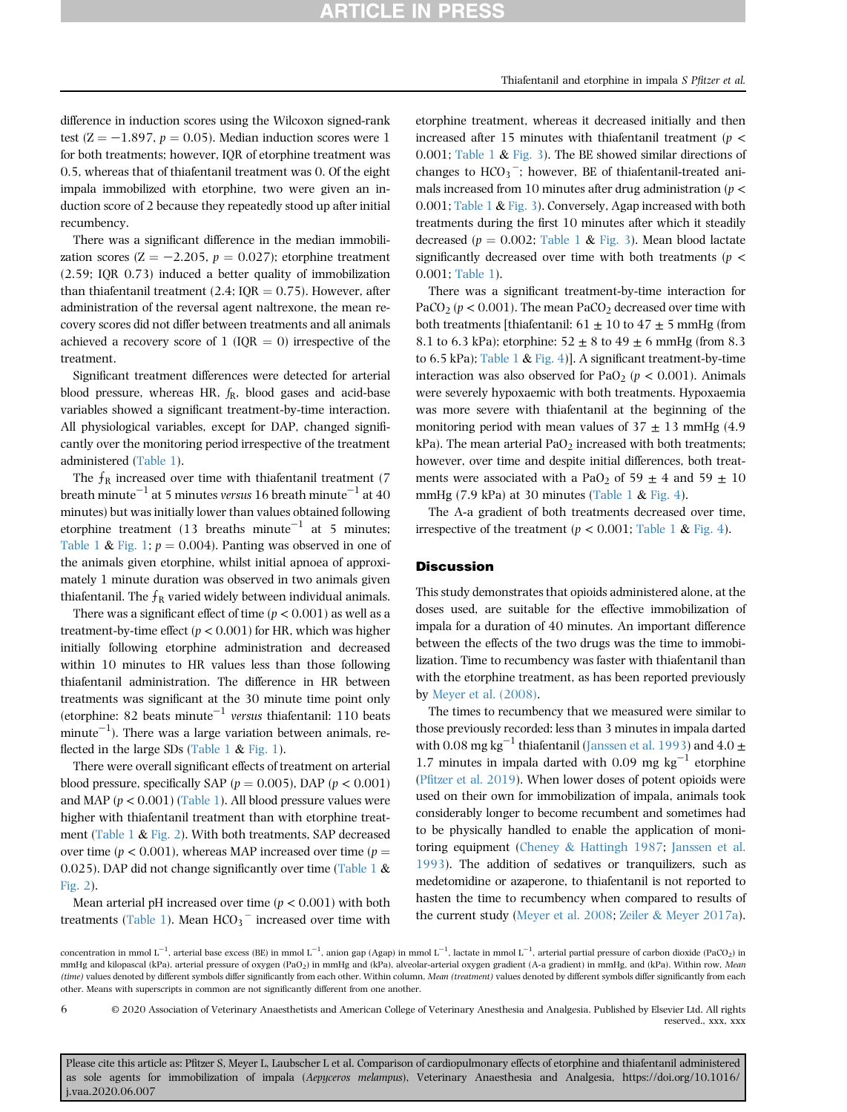difference in induction scores using the Wilcoxon signed-rank test  $(Z = -1.897, p = 0.05)$ . Median induction scores were 1 for both treatments; however, IQR of etorphine treatment was 0.5, whereas that of thiafentanil treatment was 0. Of the eight impala immobilized with etorphine, two were given an induction score of 2 because they repeatedly stood up after initial recumbency.

There was a significant difference in the median immobilization scores ( $Z = -2.205$ ,  $p = 0.027$ ); etorphine treatment (2.59; IQR 0.73) induced a better quality of immobilization than thiafentanil treatment (2.4;  $IQR = 0.75$ ). However, after administration of the reversal agent naltrexone, the mean recovery scores did not differ between treatments and all animals achieved a recovery score of 1 ( $IQR = 0$ ) irrespective of the treatment.

Significant treatment differences were detected for arterial blood pressure, whereas HR,  $f_R$ , blood gases and acid-base variables showed a significant treatment-by-time interaction. All physiological variables, except for DAP, changed significantly over the monitoring period irrespective of the treatment administered [\(Table 1](#page-3-0)).

The  $f_R$  increased over time with thiafentanil treatment (7) breath minute<sup>-1</sup> at 5 minutes versus 16 breath minute<sup>-1</sup> at 40 minutes) but was initially lower than values obtained following etorphine treatment (13 breaths minute<sup>-1</sup> at 5 minutes; [Table 1](#page-3-0) & [Fig. 1](#page-6-0);  $p = 0.004$ ). Panting was observed in one of the animals given etorphine, whilst initial apnoea of approximately 1 minute duration was observed in two animals given thiafentanil. The  $f_R$  varied widely between individual animals.

There was a significant effect of time ( $p < 0.001$ ) as well as a treatment-by-time effect ( $p < 0.001$ ) for HR, which was higher initially following etorphine administration and decreased within 10 minutes to HR values less than those following thiafentanil administration. The difference in HR between treatments was significant at the 30 minute time point only (etorphine: 82 beats minute<sup>-1</sup> versus thiafentanil: 110 beats  $minute^{-1}$ ). There was a large variation between animals, re-flected in the large SDs [\(Table 1](#page-3-0)  $&$  [Fig. 1](#page-6-0)).

There were overall significant effects of treatment on arterial blood pressure, specifically SAP ( $p = 0.005$ ), DAP ( $p < 0.001$ ) and MAP ( $p < 0.001$ ) [\(Table 1\)](#page-3-0). All blood pressure values were higher with thiafentanil treatment than with etorphine treatment [\(Table 1](#page-3-0) & [Fig. 2](#page-7-0)). With both treatments, SAP decreased over time ( $p < 0.001$ ), whereas MAP increased over time ( $p =$ 0.025). DAP did not change significantly over time ([Table 1](#page-3-0)  $\&$ [Fig. 2\)](#page-7-0).

Mean arterial pH increased over time ( $p < 0.001$ ) with both treatments ([Table 1\)](#page-3-0). Mean  $HCO_3$ <sup>-</sup> increased over time with

etorphine treatment, whereas it decreased initially and then increased after 15 minutes with thiafentanil treatment ( $p <$ 0.001; [Table 1](#page-3-0)  $\&$  [Fig. 3](#page-8-0)). The BE showed similar directions of changes to  $HCO_3^-$ ; however, BE of thiafentanil-treated animals increased from 10 minutes after drug administration ( $p <$ 0.001; [Table 1](#page-3-0) & [Fig. 3\)](#page-8-0). Conversely, Agap increased with both treatments during the first 10 minutes after which it steadily decreased ( $p = 0.002$ ; [Table 1](#page-3-0) & [Fig. 3\)](#page-8-0). Mean blood lactate significantly decreased over time with both treatments ( $p <$ 0.001; [Table 1](#page-3-0)).

There was a significant treatment-by-time interaction for PaCO<sub>2</sub> ( $p < 0.001$ ). The mean PaCO<sub>2</sub> decreased over time with both treatments [thiafentanil:  $61 \pm 10$  to  $47 \pm 5$  mmHg (from 8.1 to 6.3 kPa); etorphine:  $52 \pm 8$  to  $49 \pm 6$  mmHg (from 8.3) to 6.5 kPa); [Table 1](#page-3-0) & [Fig. 4](#page-9-0))]. A significant treatment-by-time interaction was also observed for PaO<sub>2</sub> ( $p < 0.001$ ). Animals were severely hypoxaemic with both treatments. Hypoxaemia was more severe with thiafentanil at the beginning of the monitoring period with mean values of  $37 \pm 13$  mmHg (4.9) kPa). The mean arterial  $PaO<sub>2</sub>$  increased with both treatments; however, over time and despite initial differences, both treatments were associated with a PaO<sub>2</sub> of 59  $\pm$  4 and 59  $\pm$  10 mmHg (7.9 kPa) at 30 minutes [\(Table 1](#page-3-0)  $\&$  [Fig. 4\)](#page-9-0).

The A-a gradient of both treatments decreased over time, irrespective of the treatment ( $p < 0.001$ ; [Table 1](#page-3-0) & [Fig. 4](#page-9-0)).

### **Discussion**

This study demonstrates that opioids administered alone, at the doses used, are suitable for the effective immobilization of impala for a duration of 40 minutes. An important difference between the effects of the two drugs was the time to immobilization. Time to recumbency was faster with thiafentanil than with the etorphine treatment, as has been reported previously by [Meyer et al. \(2008\).](#page-10-2)

The times to recumbency that we measured were similar to those previously recorded: less than 3 minutes in impala darted with 0.08 mg kg<sup>-1</sup> thiafentanil ([Janssen et al. 1993](#page-10-7)) and 4.0  $\pm$ 1.7 minutes in impala darted with 0.09 mg  $\text{kg}^{-1}$  etorphine (Pfi[tzer et al. 2019\)](#page-10-10). When lower doses of potent opioids were used on their own for immobilization of impala, animals took considerably longer to become recumbent and sometimes had to be physically handled to enable the application of monitoring equipment ([Cheney](#page-10-1) & [Hattingh 1987](#page-10-1); [Janssen et al.](#page-10-7) [1993](#page-10-7)). The addition of sedatives or tranquilizers, such as medetomidine or azaperone, to thiafentanil is not reported to hasten the time to recumbency when compared to results of the current study ([Meyer et al. 2008](#page-10-2); [Zeiler](#page-11-1) & [Meyer 2017a](#page-11-1)).

6

© 2020 Association of Veterinary Anaesthetists and American College of Veterinary Anesthesia and Analgesia. Published by Elsevier Ltd. All rights reserved., xxx, xxx

concentration in mmol L<sup>-1</sup>, arterial base excess (BE) in mmol L<sup>-1</sup>, anion gap (Agap) in mmol L<sup>-1</sup>, lactate in mmol L<sup>-1</sup>, arterial partial pressure of carbon dioxide (PaCO<sub>2</sub>) in mmHg and kilopascal (kPa), arterial pressure of oxygen (PaO<sub>2</sub>) in mmHg and (kPa), alveolar-arterial oxygen gradient (A-a gradient) in mmHg, and (kPa). Within row, Mean (time) values denoted by different symbols differ significantly from each other. Within column, Mean (treatment) values denoted by different symbols differ significantly from each other. Means with superscripts in common are not significantly different from one another.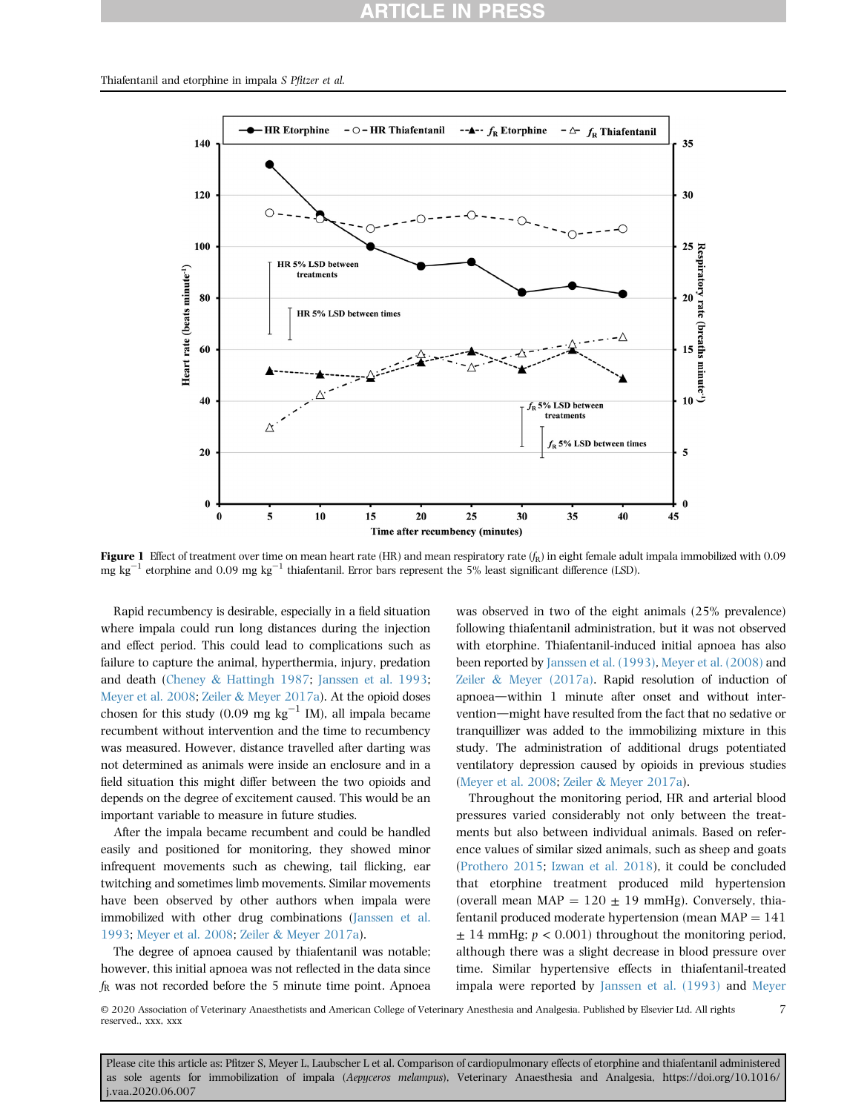### **ARTICLE IN PRES**

<span id="page-6-0"></span>

Figure 1 Effect of treatment over time on mean heart rate (HR) and mean respiratory rate  $(f_R)$  in eight female adult impala immobilized with 0.09 mg kg<sup>-1</sup> etorphine and 0.09 mg kg<sup>-1</sup> thiafentanil. Error bars represent the 5% least significant difference (LSD).

Rapid recumbency is desirable, especially in a field situation where impala could run long distances during the injection and effect period. This could lead to complications such as failure to capture the animal, hyperthermia, injury, predation and death ([Cheney](#page-10-1) & [Hattingh 1987;](#page-10-1) [Janssen et al. 1993;](#page-10-7) [Meyer et al. 2008;](#page-10-2) [Zeiler](#page-11-1) & [Meyer 2017a\)](#page-11-1). At the opioid doses chosen for this study (0.09 mg kg<sup>-1</sup> IM), all impala became recumbent without intervention and the time to recumbency was measured. However, distance travelled after darting was not determined as animals were inside an enclosure and in a field situation this might differ between the two opioids and depends on the degree of excitement caused. This would be an important variable to measure in future studies.

After the impala became recumbent and could be handled easily and positioned for monitoring, they showed minor infrequent movements such as chewing, tail flicking, ear twitching and sometimes limb movements. Similar movements have been observed by other authors when impala were immobilized with other drug combinations [\(Janssen et al.](#page-10-7) [1993](#page-10-7); [Meyer et al. 2008](#page-10-2); [Zeiler](#page-11-1) & [Meyer 2017a\)](#page-11-1).

The degree of apnoea caused by thiafentanil was notable; however, this initial apnoea was not reflected in the data since  $f<sub>R</sub>$  was not recorded before the 5 minute time point. Apnoea

was observed in two of the eight animals (25% prevalence) following thiafentanil administration, but it was not observed with etorphine. Thiafentanil-induced initial apnoea has also been reported by [Janssen et al. \(1993\)](#page-10-7), [Meyer et al. \(2008\)](#page-10-2) and [Zeiler](#page-11-1) & [Meyer \(2017a\)](#page-11-1). Rapid resolution of induction of apnoea—within 1 minute after onset and without intervention—might have resulted from the fact that no sedative or tranquillizer was added to the immobilizing mixture in this study. The administration of additional drugs potentiated ventilatory depression caused by opioids in previous studies ([Meyer et al. 2008](#page-10-2); [Zeiler](#page-11-1) & [Meyer 2017a\)](#page-11-1).

Throughout the monitoring period, HR and arterial blood pressures varied considerably not only between the treatments but also between individual animals. Based on reference values of similar sized animals, such as sheep and goats ([Prothero 2015;](#page-10-11) [Izwan et al. 2018](#page-10-12)), it could be concluded that etorphine treatment produced mild hypertension (overall mean MAP =  $120 \pm 19$  mmHg). Conversely, thiafentanil produced moderate hypertension (mean  $MAP = 141$  $\pm$  14 mmHg;  $p < 0.001$ ) throughout the monitoring period, although there was a slight decrease in blood pressure over time. Similar hypertensive effects in thiafentanil-treated impala were reported by [Janssen et al. \(1993\)](#page-10-7) and [Meyer](#page-10-2)

7

© 2020 Association of Veterinary Anaesthetists and American College of Veterinary Anesthesia and Analgesia. Published by Elsevier Ltd. All rights reserved., xxx, xxx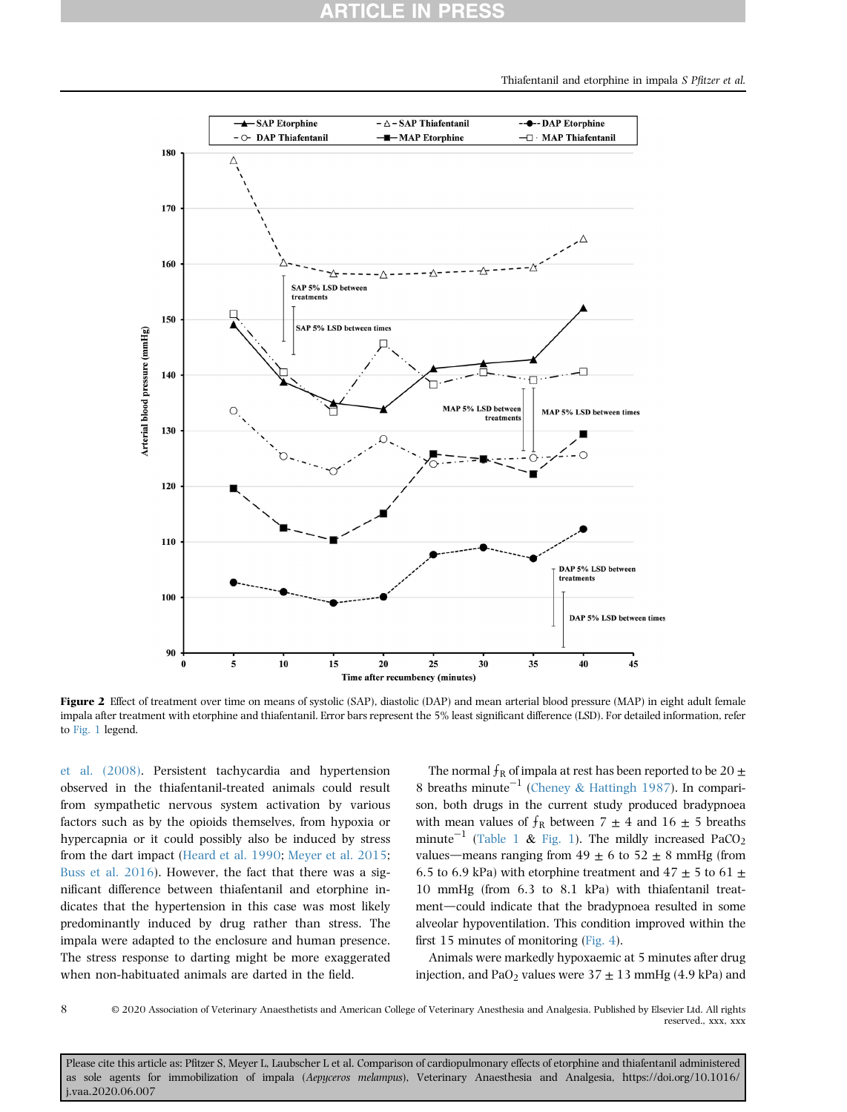Thiafentanil and etorphine in impala S Pfitzer et al.

<span id="page-7-0"></span>

Figure 2 Effect of treatment over time on means of systolic (SAP), diastolic (DAP) and mean arterial blood pressure (MAP) in eight adult female impala after treatment with etorphine and thiafentanil. Error bars represent the 5% least significant difference (LSD). For detailed information, refer to [Fig. 1](#page-6-0) legend.

[et al. \(2008\)](#page-10-2). Persistent tachycardia and hypertension observed in the thiafentanil-treated animals could result from sympathetic nervous system activation by various factors such as by the opioids themselves, from hypoxia or hypercapnia or it could possibly also be induced by stress from the dart impact ([Heard et al. 1990;](#page-10-13) [Meyer et al. 2015](#page-10-14); [Buss et al. 2016](#page-10-15)). However, the fact that there was a significant difference between thiafentanil and etorphine indicates that the hypertension in this case was most likely predominantly induced by drug rather than stress. The impala were adapted to the enclosure and human presence. The stress response to darting might be more exaggerated when non-habituated animals are darted in the field.

The normal  $f_R$  of impala at rest has been reported to be 20  $\pm$ 8 breaths minute<sup>-1</sup> [\(Cheney](#page-10-1) & [Hattingh 1987\)](#page-10-1). In comparison, both drugs in the current study produced bradypnoea with mean values of  $f_R$  between 7  $\pm$  4 and 16  $\pm$  5 breaths minute<sup>-1</sup> ([Table 1](#page-3-0) & [Fig. 1](#page-6-0)). The mildly increased PaCO<sub>2</sub> values—means ranging from  $49 \pm 6$  to  $52 \pm 8$  mmHg (from 6.5 to 6.9 kPa) with etorphine treatment and  $47 \pm 5$  to 61  $\pm$ 10 mmHg (from 6.3 to 8.1 kPa) with thiafentanil treatment—could indicate that the bradypnoea resulted in some alveolar hypoventilation. This condition improved within the first 15 minutes of monitoring ([Fig. 4](#page-9-0)).

Animals were markedly hypoxaemic at 5 minutes after drug injection, and PaO<sub>2</sub> values were  $37 \pm 13$  mmHg (4.9 kPa) and

8

© 2020 Association of Veterinary Anaesthetists and American College of Veterinary Anesthesia and Analgesia. Published by Elsevier Ltd. All rights reserved., xxx, xxx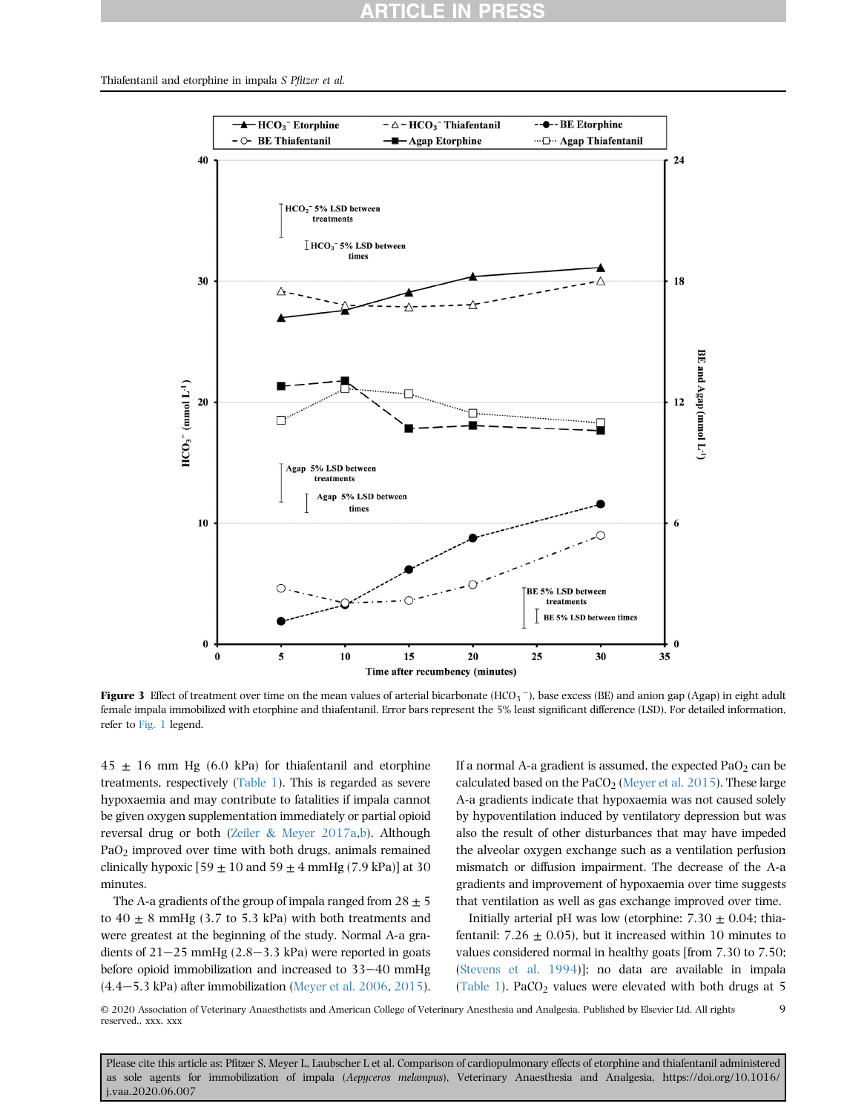### RTICLE IN

<span id="page-8-0"></span>Thiafentanil and etorphine in impala S Pfitzer et al.



**Figure 3** Effect of treatment over time on the mean values of arterial bicarbonate (HCO<sub>3</sub>  $^-$ ), base excess (BE) and anion gap (Agap) in eight adult female impala immobilized with etorphine and thiafentanil. Error bars represent the 5% least significant difference (LSD). For detailed information, refer to [Fig. 1](#page-6-0) legend.

 $45 \pm 16$  mm Hg (6.0 kPa) for thiafentanil and etorphine treatments, respectively ([Table 1\)](#page-3-0). This is regarded as severe hypoxaemia and may contribute to fatalities if impala cannot be given oxygen supplementation immediately or partial opioid reversal drug or both ([Zeiler](#page-11-1) & [Meyer 2017a](#page-11-1)[,b\)](#page-11-0). Although PaO2 improved over time with both drugs, animals remained clinically hypoxic  $[59 \pm 10$  and  $59 \pm 4$  mmHg  $(7.9 \text{ kPa})$ ] at 30 minutes.

The A-a gradients of the group of impala ranged from  $28 \pm 5$ to  $40 \pm 8$  mmHg (3.7 to 5.3 kPa) with both treatments and were greatest at the beginning of the study. Normal A-a gradients of  $21-25$  mmHg (2.8–3.3 kPa) were reported in goats before opioid immobilization and increased to  $33-40$  mmHg  $(4.4-5.3 \text{ kPa})$  after immobilization [\(Meyer et al. 2006,](#page-10-16) [2015\)](#page-10-14).

If a normal A-a gradient is assumed, the expected  $PaO<sub>2</sub>$  can be calculated based on the PaCO<sub>2</sub> [\(Meyer et al. 2015\)](#page-10-14). These large A-a gradients indicate that hypoxaemia was not caused solely by hypoventilation induced by ventilatory depression but was also the result of other disturbances that may have impeded the alveolar oxygen exchange such as a ventilation perfusion mismatch or diffusion impairment. The decrease of the A-a gradients and improvement of hypoxaemia over time suggests that ventilation as well as gas exchange improved over time.

Initially arterial pH was low (etorphine:  $7.30 \pm 0.04$ ; thiafentanil:  $7.26 \pm 0.05$ ), but it increased within 10 minutes to values considered normal in healthy goats [from 7.30 to 7.50; ([Stevens et al. 1994](#page-11-3))]; no data are available in impala ([Table 1\)](#page-3-0). PaCO<sub>2</sub> values were elevated with both drugs at 5

9

© 2020 Association of Veterinary Anaesthetists and American College of Veterinary Anesthesia and Analgesia. Published by Elsevier Ltd. All rights reserved., xxx, xxx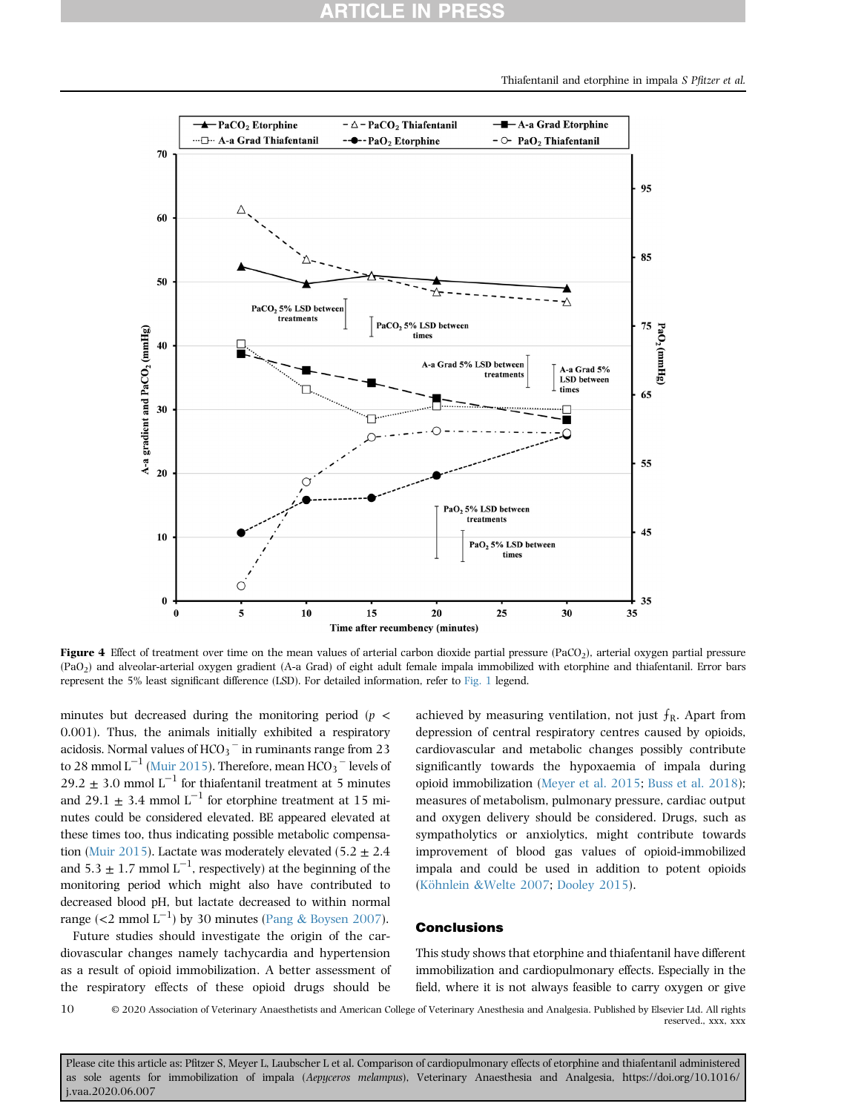<span id="page-9-0"></span>

**Figure 4** Effect of treatment over time on the mean values of arterial carbon dioxide partial pressure (PaCO<sub>2</sub>), arterial oxygen partial pressure (PaO2) and alveolar-arterial oxygen gradient (A-a Grad) of eight adult female impala immobilized with etorphine and thiafentanil. Error bars represent the 5% least significant difference (LSD). For detailed information, refer to [Fig. 1](#page-6-0) legend.

minutes but decreased during the monitoring period ( $p \leq$ 0.001). Thus, the animals initially exhibited a respiratory acidosis. Normal values of  $HCO_3$ <sup>-</sup> in ruminants range from 23 to 28 mmol  $L^{-1}$  ([Muir 2015](#page-10-17)). Therefore, mean HCO<sub>3</sub>  $^-$  levels of 29.2  $\pm$  3.0 mmol L<sup>-1</sup> for thiafentanil treatment at 5 minutes and 29.1  $\pm$  3.4 mmol L<sup>-1</sup> for etorphine treatment at 15 minutes could be considered elevated. BE appeared elevated at these times too, thus indicating possible metabolic compensa-tion ([Muir 2015\)](#page-10-17). Lactate was moderately elevated (5.2  $\pm$  2.4 and  $5.3 \pm 1.7$  mmol  $L^{-1}$ , respectively) at the beginning of the monitoring period which might also have contributed to decreased blood pH, but lactate decreased to within normal range (<2 mmol  $L^{-1}$ ) by 30 minutes ([Pang](#page-10-18) & [Boysen 2007](#page-10-18)).

Future studies should investigate the origin of the cardiovascular changes namely tachycardia and hypertension as a result of opioid immobilization. A better assessment of the respiratory effects of these opioid drugs should be achieved by measuring ventilation, not just  $f_R$ . Apart from depression of central respiratory centres caused by opioids, cardiovascular and metabolic changes possibly contribute significantly towards the hypoxaemia of impala during opioid immobilization ([Meyer et al. 2015;](#page-10-14) [Buss et al. 2018](#page-10-19)); measures of metabolism, pulmonary pressure, cardiac output and oxygen delivery should be considered. Drugs, such as sympatholytics or anxiolytics, might contribute towards improvement of blood gas values of opioid-immobilized impala and could be used in addition to potent opioids [\(K](#page-10-20)ö[hnlein](#page-10-20) &[Welte 2007;](#page-10-20) [Dooley 2015](#page-10-21)).

### **Conclusions**

This study shows that etorphine and thiafentanil have different immobilization and cardiopulmonary effects. Especially in the field, where it is not always feasible to carry oxygen or give

© 2020 Association of Veterinary Anaesthetists and American College of Veterinary Anesthesia and Analgesia. Published by Elsevier Ltd. All rights reserved., xxx, xxx 10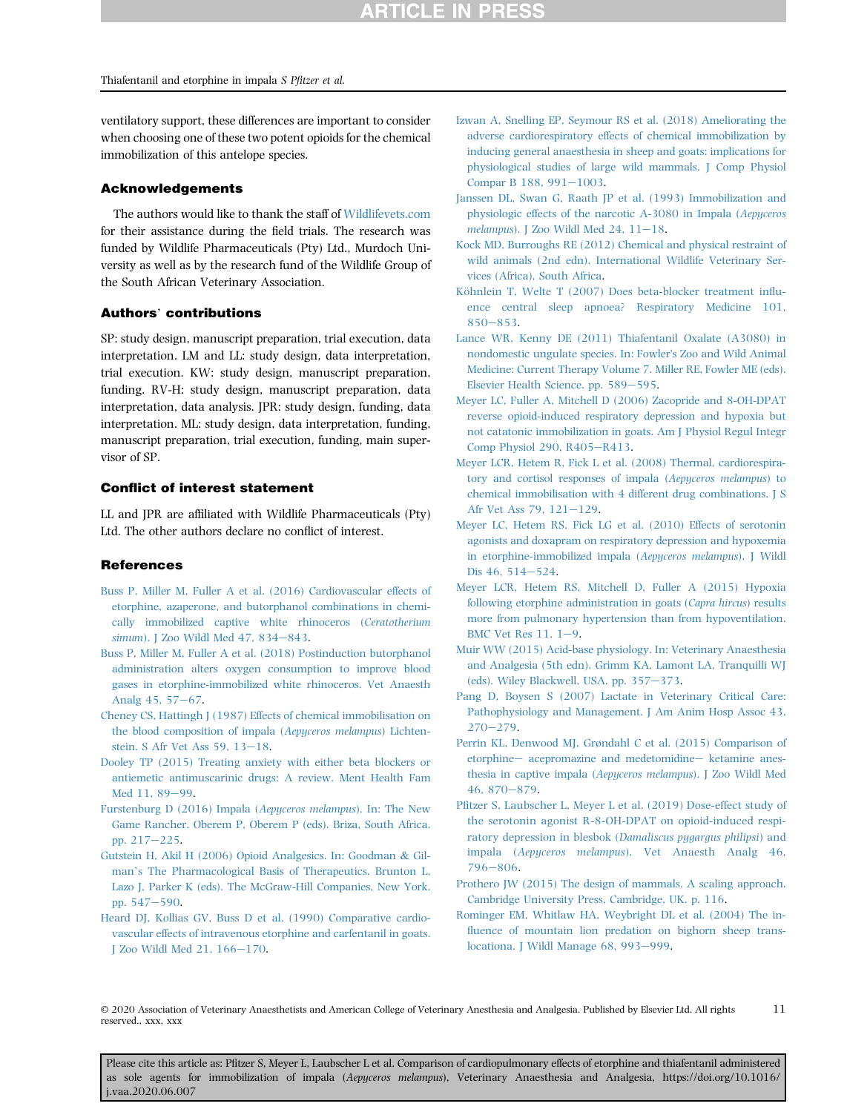ventilatory support, these differences are important to consider when choosing one of these two potent opioids for the chemical immobilization of this antelope species.

### Acknowledgements

The authors would like to thank the staff of [Wildlifevets.com](http://Wildlifevets.com) for their assistance during the field trials. The research was funded by Wildlife Pharmaceuticals (Pty) Ltd., Murdoch University as well as by the research fund of the Wildlife Group of the South African Veterinary Association.

### Authors' contributions

SP: study design, manuscript preparation, trial execution, data interpretation. LM and LL: study design, data interpretation, trial execution. KW: study design, manuscript preparation, funding. RV-H: study design, manuscript preparation, data interpretation, data analysis. JPR: study design, funding, data interpretation. ML: study design, data interpretation, funding, manuscript preparation, trial execution, funding, main supervisor of SP.

### Conflict of interest statement

LL and JPR are affiliated with Wildlife Pharmaceuticals (Pty) Ltd. The other authors declare no conflict of interest.

### References

- <span id="page-10-15"></span>[Buss P, Miller M, Fuller A et al. \(2016\) Cardiovascular effects of](http://refhub.elsevier.com/S1467-2987(20)30210-5/sref1) [etorphine, azaperone, and butorphanol combinations in chemi](http://refhub.elsevier.com/S1467-2987(20)30210-5/sref1)[cally immobilized captive white rhinoceros \(](http://refhub.elsevier.com/S1467-2987(20)30210-5/sref1)Ceratotherium simum). J Zoo Wildl Med  $47, 834-843$  $47, 834-843$ .
- <span id="page-10-19"></span>[Buss P, Miller M, Fuller A et al. \(2018\) Postinduction butorphanol](http://refhub.elsevier.com/S1467-2987(20)30210-5/sref2) [administration alters oxygen consumption to improve blood](http://refhub.elsevier.com/S1467-2987(20)30210-5/sref2) [gases in etorphine-immobilized white rhinoceros. Vet Anaesth](http://refhub.elsevier.com/S1467-2987(20)30210-5/sref2) Analg  $45.57 - 67$ .
- <span id="page-10-1"></span>[Cheney CS, Hattingh J \(1987\) Effects of chemical immobilisation on](http://refhub.elsevier.com/S1467-2987(20)30210-5/sref3) [the blood composition of impala \(](http://refhub.elsevier.com/S1467-2987(20)30210-5/sref3)Aepyceros melampus) Lichtenstein. S Afr Vet Ass  $59, 13-18$  $59, 13-18$ .
- <span id="page-10-21"></span>[Dooley TP \(2015\) Treating anxiety with either beta blockers or](http://refhub.elsevier.com/S1467-2987(20)30210-5/sref4) [antiemetic antimuscarinic drugs: A review. Ment Health Fam](http://refhub.elsevier.com/S1467-2987(20)30210-5/sref4) [Med 11, 89](http://refhub.elsevier.com/S1467-2987(20)30210-5/sref4)-[99.](http://refhub.elsevier.com/S1467-2987(20)30210-5/sref4)
- <span id="page-10-0"></span>[Furstenburg D \(2016\) Impala \(](http://refhub.elsevier.com/S1467-2987(20)30210-5/sref5)Aepyceros melampus). In: The New [Game Rancher. Oberem P, Oberem P \(eds\). Briza, South Africa.](http://refhub.elsevier.com/S1467-2987(20)30210-5/sref5) [pp. 217](http://refhub.elsevier.com/S1467-2987(20)30210-5/sref5)-[225](http://refhub.elsevier.com/S1467-2987(20)30210-5/sref5).
- <span id="page-10-9"></span>[Gutstein H, Akil H \(2006\) Opioid Analgesics. In: Goodman](http://refhub.elsevier.com/S1467-2987(20)30210-5/sref6) & [Gil-](http://refhub.elsevier.com/S1467-2987(20)30210-5/sref6)man'[s The Pharmacological Basis of Therapeutics. Brunton L,](http://refhub.elsevier.com/S1467-2987(20)30210-5/sref6) [Lazo J, Parker K \(eds\). The McGraw-Hill Companies, New York.](http://refhub.elsevier.com/S1467-2987(20)30210-5/sref6) [pp. 547](http://refhub.elsevier.com/S1467-2987(20)30210-5/sref6)-[590](http://refhub.elsevier.com/S1467-2987(20)30210-5/sref6).
- <span id="page-10-13"></span>[Heard DJ, Kollias GV, Buss D et al. \(1990\) Comparative cardio](http://refhub.elsevier.com/S1467-2987(20)30210-5/sref7)[vascular effects of intravenous etorphine and carfentanil in goats.](http://refhub.elsevier.com/S1467-2987(20)30210-5/sref7)  $J$  Zoo Wildl Med 21,  $166-170$ .
- <span id="page-10-12"></span>[Izwan A, Snelling EP, Seymour RS et al. \(2018\) Ameliorating the](http://refhub.elsevier.com/S1467-2987(20)30210-5/sref8) [adverse cardiorespiratory effects of chemical immobilization by](http://refhub.elsevier.com/S1467-2987(20)30210-5/sref8) [inducing general anaesthesia in sheep and goats: implications for](http://refhub.elsevier.com/S1467-2987(20)30210-5/sref8) [physiological studies of large wild mammals. J Comp Physiol](http://refhub.elsevier.com/S1467-2987(20)30210-5/sref8) Compar B 188,  $991-1003$  $991-1003$ .
- <span id="page-10-7"></span>[Janssen DL, Swan G, Raath JP et al. \(1993\) Immobilization and](http://refhub.elsevier.com/S1467-2987(20)30210-5/sref9) [physiologic effects of the narcotic A-3080 in Impala \(](http://refhub.elsevier.com/S1467-2987(20)30210-5/sref9)Aepyceros melampus). J Zoo Wildl Med  $24$ ,  $11-18$  $11-18$ .
- <span id="page-10-4"></span>[Kock MD, Burroughs RE \(2012\) Chemical and physical restraint of](http://refhub.elsevier.com/S1467-2987(20)30210-5/sref10) [wild animals \(2nd edn\). International Wildlife Veterinary Ser](http://refhub.elsevier.com/S1467-2987(20)30210-5/sref10)[vices \(Africa\), South Africa](http://refhub.elsevier.com/S1467-2987(20)30210-5/sref10).
- <span id="page-10-20"></span>[K](http://refhub.elsevier.com/S1467-2987(20)30210-5/sref11)öhnlein T, Welte T (2007) Does beta-blocker treatment influ[ence central sleep apnoea? Respiratory Medicine 101,](http://refhub.elsevier.com/S1467-2987(20)30210-5/sref11)  $850 - 853.$  $850 - 853.$  $850 - 853.$
- <span id="page-10-3"></span>[Lance WR, Kenny DE \(2011\) Thiafentanil Oxalate \(A3080\) in](http://refhub.elsevier.com/S1467-2987(20)30210-5/sref12) [nondomestic ungulate species. In: Fowler](http://refhub.elsevier.com/S1467-2987(20)30210-5/sref12)'s Zoo and Wild Animal [Medicine: Current Therapy Volume 7. Miller RE, Fowler ME \(eds\).](http://refhub.elsevier.com/S1467-2987(20)30210-5/sref12) [Elsevier Health Science. pp. 589](http://refhub.elsevier.com/S1467-2987(20)30210-5/sref12)-[595.](http://refhub.elsevier.com/S1467-2987(20)30210-5/sref12)
- <span id="page-10-16"></span>[Meyer LC, Fuller A, Mitchell D \(2006\) Zacopride and 8-OH-DPAT](http://refhub.elsevier.com/S1467-2987(20)30210-5/sref13) [reverse opioid-induced respiratory depression and hypoxia but](http://refhub.elsevier.com/S1467-2987(20)30210-5/sref13) [not catatonic immobilization in goats. Am J Physiol Regul Integr](http://refhub.elsevier.com/S1467-2987(20)30210-5/sref13) [Comp Physiol 290, R405](http://refhub.elsevier.com/S1467-2987(20)30210-5/sref13)-[R413](http://refhub.elsevier.com/S1467-2987(20)30210-5/sref13).
- <span id="page-10-2"></span>[Meyer LCR, Hetem R, Fick L et al. \(2008\) Thermal, cardiorespira](http://refhub.elsevier.com/S1467-2987(20)30210-5/sref14)[tory and cortisol responses of impala \(](http://refhub.elsevier.com/S1467-2987(20)30210-5/sref14)Aepyceros melampus) to [chemical immobilisation with 4 different drug combinations. J S](http://refhub.elsevier.com/S1467-2987(20)30210-5/sref14) Afr Vet Ass  $79, 121 - 129$ .
- <span id="page-10-6"></span>[Meyer LC, Hetem RS, Fick LG et al. \(2010\) Effects of serotonin](http://refhub.elsevier.com/S1467-2987(20)30210-5/sref15) [agonists and doxapram on respiratory depression and hypoxemia](http://refhub.elsevier.com/S1467-2987(20)30210-5/sref15) [in etorphine-immobilized impala \(](http://refhub.elsevier.com/S1467-2987(20)30210-5/sref15)Aepyceros melampus). J Wildl [Dis 46, 514](http://refhub.elsevier.com/S1467-2987(20)30210-5/sref15)-[524.](http://refhub.elsevier.com/S1467-2987(20)30210-5/sref15)
- <span id="page-10-14"></span>[Meyer LCR, Hetem RS, Mitchell D, Fuller A \(2015\) Hypoxia](http://refhub.elsevier.com/S1467-2987(20)30210-5/sref16) [following etorphine administration in goats \(](http://refhub.elsevier.com/S1467-2987(20)30210-5/sref16)Capra hircus) results [more from pulmonary hypertension than from hypoventilation.](http://refhub.elsevier.com/S1467-2987(20)30210-5/sref16) BMC Vet Res  $11, 1-9$  $11, 1-9$ .
- <span id="page-10-17"></span>[Muir WW \(2015\) Acid-base physiology. In: Veterinary Anaesthesia](http://refhub.elsevier.com/S1467-2987(20)30210-5/sref17) [and Analgesia \(5th edn\). Grimm KA, Lamont LA, Tranquilli WJ](http://refhub.elsevier.com/S1467-2987(20)30210-5/sref17) (eds). Wiley Blackwell, USA. pp.  $357-373$  $357-373$ .
- <span id="page-10-18"></span>[Pang D, Boysen S \(2007\) Lactate in Veterinary Critical Care:](http://refhub.elsevier.com/S1467-2987(20)30210-5/sref18) [Pathophysiology and Management. J Am Anim Hosp Assoc 43,](http://refhub.elsevier.com/S1467-2987(20)30210-5/sref18)  $270 - 279.$  $270 - 279.$  $270 - 279.$  $270 - 279.$
- <span id="page-10-5"></span>Perrin KL, Denwood MJ, Grø[ndahl C et al. \(2015\) Comparison of](http://refhub.elsevier.com/S1467-2987(20)30210-5/sref19) [etorphine](http://refhub.elsevier.com/S1467-2987(20)30210-5/sref19)- [acepromazine and medetomidine](http://refhub.elsevier.com/S1467-2987(20)30210-5/sref19)- [ketamine anes](http://refhub.elsevier.com/S1467-2987(20)30210-5/sref19)[thesia in captive impala \(](http://refhub.elsevier.com/S1467-2987(20)30210-5/sref19)Aepyceros melampus). J Zoo Wildl Med  $46, 870 - 879.$  $46, 870 - 879.$  $46, 870 - 879.$
- <span id="page-10-10"></span>Pfi[tzer S, Laubscher L, Meyer L et al. \(2019\) Dose-effect study of](http://refhub.elsevier.com/S1467-2987(20)30210-5/sref20) [the serotonin agonist R-8-OH-DPAT on opioid-induced respi](http://refhub.elsevier.com/S1467-2987(20)30210-5/sref20)[ratory depression in blesbok \(](http://refhub.elsevier.com/S1467-2987(20)30210-5/sref20)Damaliscus pygargus philipsi) and impala (Aepyceros melampus[\). Vet Anaesth Analg 46,](http://refhub.elsevier.com/S1467-2987(20)30210-5/sref20)  $796 - 806.$  $796 - 806.$  $796 - 806.$  $796 - 806.$
- <span id="page-10-11"></span>[Prothero JW \(2015\) The design of mammals. A scaling approach.](http://refhub.elsevier.com/S1467-2987(20)30210-5/sref21) [Cambridge University Press, Cambridge, UK. p. 116](http://refhub.elsevier.com/S1467-2987(20)30210-5/sref21).
- <span id="page-10-8"></span>[Rominger EM, Whitlaw HA, Weybright DL et al. \(2004\) The in](http://refhub.elsevier.com/S1467-2987(20)30210-5/sref22)fl[uence of mountain lion predation on bighorn sheep trans](http://refhub.elsevier.com/S1467-2987(20)30210-5/sref22)[locationa. J Wildl Manage 68, 993](http://refhub.elsevier.com/S1467-2987(20)30210-5/sref22)-[999](http://refhub.elsevier.com/S1467-2987(20)30210-5/sref22).

© 2020 Association of Veterinary Anaesthetists and American College of Veterinary Anesthesia and Analgesia. Published by Elsevier Ltd. All rights reserved., xxx, xxx 11